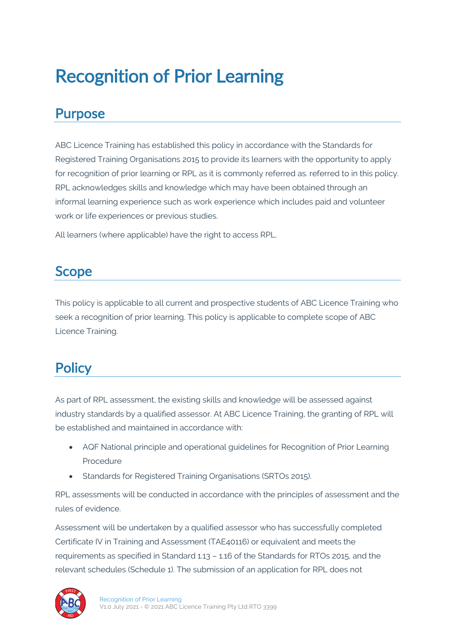# Recognition of Prior Learning

#### Purpose

ABC Licence Training has established this policy in accordance with the Standards for Registered Training Organisations 2015 to provide its learners with the opportunity to apply for recognition of prior learning or RPL as it is commonly referred as. referred to in this policy. RPL acknowledges skills and knowledge which may have been obtained through an informal learning experience such as work experience which includes paid and volunteer work or life experiences or previous studies.

All learners (where applicable) have the right to access RPL.

#### Scope

This policy is applicable to all current and prospective students of ABC Licence Training who seek a recognition of prior learning. This policy is applicable to complete scope of ABC Licence Training.

#### **Policy**

As part of RPL assessment, the existing skills and knowledge will be assessed against industry standards by a qualified assessor. At ABC Licence Training, the granting of RPL will be established and maintained in accordance with:

- AQF National principle and operational guidelines for Recognition of Prior Learning Procedure
- Standards for Registered Training Organisations (SRTOs 2015).

RPL assessments will be conducted in accordance with the principles of assessment and the rules of evidence.

Assessment will be undertaken by a qualified assessor who has successfully completed Certificate IV in Training and Assessment (TAE40116) or equivalent and meets the requirements as specified in Standard 1.13 – 1.16 of the Standards for RTOs 2015, and the relevant schedules (Schedule 1). The submission of an application for RPL does not

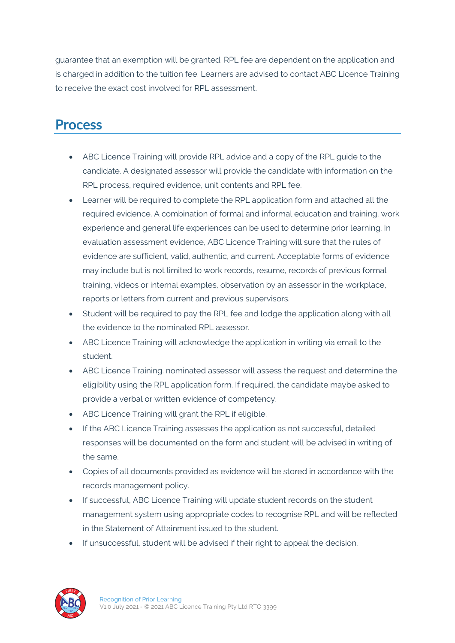guarantee that an exemption will be granted. RPL fee are dependent on the application and is charged in addition to the tuition fee. Learners are advised to contact ABC Licence Training to receive the exact cost involved for RPL assessment.

#### **Process**

- ABC Licence Training will provide RPL advice and a copy of the RPL guide to the candidate. A designated assessor will provide the candidate with information on the RPL process, required evidence, unit contents and RPL fee.
- Learner will be required to complete the RPL application form and attached all the required evidence. A combination of formal and informal education and training, work experience and general life experiences can be used to determine prior learning. In evaluation assessment evidence, ABC Licence Training will sure that the rules of evidence are sufficient, valid, authentic, and current. Acceptable forms of evidence may include but is not limited to work records, resume, records of previous formal training, videos or internal examples, observation by an assessor in the workplace, reports or letters from current and previous supervisors.
- Student will be required to pay the RPL fee and lodge the application along with all the evidence to the nominated RPL assessor.
- ABC Licence Training will acknowledge the application in writing via email to the student.
- ABC Licence Training. nominated assessor will assess the request and determine the eligibility using the RPL application form. If required, the candidate maybe asked to provide a verbal or written evidence of competency.
- ABC Licence Training will grant the RPL if eligible.
- If the ABC Licence Training assesses the application as not successful, detailed responses will be documented on the form and student will be advised in writing of the same.
- Copies of all documents provided as evidence will be stored in accordance with the records management policy.
- If successful, ABC Licence Training will update student records on the student management system using appropriate codes to recognise RPL and will be reflected in the Statement of Attainment issued to the student.
- If unsuccessful, student will be advised if their right to appeal the decision.